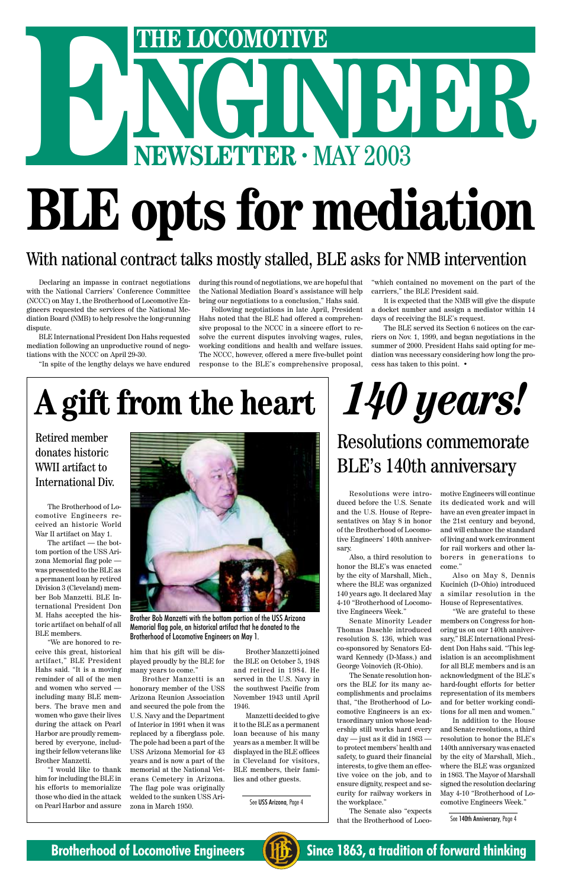

# THE LOCOMOTIVE **NEWSLETTER · MAY 2003 BLE opts for mediation**

Declaring an impasse in contract negotiations with the National Carriers' Conference Committee (NCCC) on May 1, the Brotherhood of Locomotive Engineers requested the services of the National Mediation Board (NMB) to help resolve the long-running dispute.

BLE International President Don Hahs requested mediation following an unproductive round of negotiations with the NCCC on April 29-30.

"In spite of the lengthy delays we have endured

during this round of negotiations, we are hopeful that the National Mediation Board's assistance will help bring our negotiations to a conclusion," Hahs said.

Following negotiations in late April, President Hahs noted that the BLE had offered a comprehensive proposal to the NCCC in a sincere effort to resolve the current disputes involving wages, rules, working conditions and health and welfare issues. The NCCC, however, offered a mere five-bullet point response to the BLE's comprehensive proposal,

"which contained no movement on the part of the carriers," the BLE President said.

It is expected that the NMB will give the dispute a docket number and assign a mediator within 14 days of receiving the BLE's request.

The BLE served its Section 6 notices on the carriers on Nov. 1, 1999, and began negotiations in the summer of 2000. President Hahs said opting for mediation was necessary considering how long the process has taken to this point. •

#### With national contract talks mostly stalled, BLE asks for NMB intervention

The Brotherhood of Locomotive Engineers received an historic World War II artifact on May 1.

The artifact — the bottom portion of the USS Arizona Memorial flag pole was presented to the BLE as a permanent loan by retired Division 3 (Cleveland) member Bob Manzetti. BLE International President Don M. Hahs accepted the historic artifact on behalf of all BLE members.

"We are honored to receive this great, historical artifact," BLE President Hahs said. "It is a moving reminder of all of the men and women who served including many BLE members. The brave men and women who gave their lives during the attack on Pearl Harbor are proudly remembered by everyone, including their fellow veterans like Brother Manzetti.

"I would like to thank him for including the BLE in his efforts to memorialize those who died in the attack on Pearl Harbor and assure

him that his gift will be displayed proudly by the BLE for many years to come." Brother Manzetti is an honorary member of the USS Arizona Reunion Association and secured the pole from the U.S. Navy and the Department of Interior in 1991 when it was replaced by a fiberglass pole. The pole had been a part of the USS Arizona Memorial for 43 years and is now a part of the memorial at the National Veterans Cemetery in Arizona. Brother Manzetti joined the BLE on October 5, 1948 and retired in 1984. He served in the U.S. Navy in the southwest Pacific from November 1943 until April 1946. Manzetti decided to give it to the BLE as a permanent loan because of his many years as a member. It will be displayed in the BLE offices in Cleveland for visitors, BLE members, their families and other guests.

The flag pole was originally welded to the sunken USS Arizona in March 1950.

## **A gift from the heart**

#### Retired member donates historic WWII artifact to International Div.

See USS Arizona, Page 4

## *140 years!* Resolutions commemorate

BLE's 140th anniversary

Resolutions were introduced before the U.S. Senate and the U.S. House of Representatives on May 8 in honor of the Brotherhood of Locomotive Engineers' 140th anniversary.

Also, a third resolution to honor the BLE's was enacted by the city of Marshall, Mich., where the BLE was organized 140 years ago. It declared May 4-10 "Brotherhood of Locomotive Engineers Week."

Senate Minority Leader Thomas Daschle introduced resolution S. 136, which was co-sponsored by Senators Ed-

ward Kennedy (D-Mass.) and George Voinovich (R-Ohio).

The Senate resolution honors the BLE for its many accomplishments and proclaims that, "the Brotherhood of Locomotive Engineers is an extraordinary union whose leadership still works hard every day — just as it did in 1863 to protect members' health and safety, to guard their financial interests, to give them an effective voice on the job, and to ensure dignity, respect and security for railway workers in the workplace."

The Senate also "expects that the Brotherhood of Loco-

motive Engineers will continue its dedicated work and will have an even greater impact in the 21st century and beyond, and will enhance the standard of living and work environment for rail workers and other laborers in generations to come."

Also on May 8, Dennis Kucinich (D-Ohio) introduced a similar resolution in the House of Representatives.

"We are grateful to these members on Congress for honoring us on our 140th anniversary," BLE International President Don Hahs said. "This legislation is an accomplishment for all BLE members and is an acknowledgment of the BLE's hard-fought efforts for better representation of its members and for better working conditions for all men and women." In addition to the House and Senate resolutions, a third resolution to honor the BLE's 140th anniversary was enacted by the city of Marshall, Mich., where the BLE was organized in 1863. The Mayor of Marshall signed the resolution declaring May 4-10 "Brotherhood of Locomotive Engineers Week."



Brother Bob Manzetti with the bottom portion of the USS Arizona Memorial flag pole, an historical artifact that he donated to the Brotherhood of Locomotive Engineers on May 1.

See 140th Anniversary, Page 4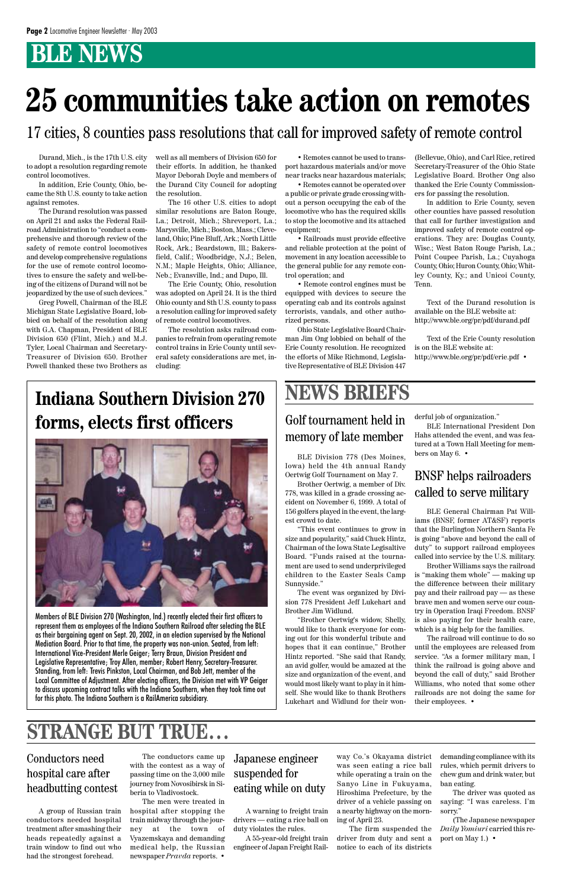## **BLE NEWS**

A warning to freight train drivers — eating a rice ball on duty violates the rules.

A 55-year-old freight train engineer of Japan Freight Rail-

#### **STRANGE BUT TRUE…**

#### Conductors need hospital care after headbutting contest

A group of Russian train conductors needed hospital treatment after smashing their heads repeatedly against a train window to find out who had the strongest forehead.

The conductors came up with the contest as a way of passing time on the 3,000 mile journey from Novosibirsk in Siberia to Vladivostock.

The men were treated in hospital after stopping the train midway through the journey at the town of Vyazemskaya and demanding medical help, the Russian newspaper *Pravda* reports. •

Japanese engineer suspended for eating while on duty

way Co.'s Okayama district was seen eating a rice ball while operating a train on the Sanyo Line in Fukuyama, Hiroshima Prefecture, by the driver of a vehicle passing on a nearby highway on the morning of April 23.

The firm suspended the driver from duty and sent a notice to each of its districts

demanding compliance with its rules, which permit drivers to chew gum and drink water, but ban eating.

The driver was quoted as saying: "I was careless. I'm sorry."

(The Japanese newspaper *Daily Yomiuri* carried this report on May 1.) •

## **25 communities take action on remotes**

17 cities, 8 counties pass resolutions that call for improved safety of remote control

Durand, Mich., is the 17th U.S. city to adopt a resolution regarding remote control locomotives.

In addition, Erie County, Ohio, became the 8th U.S. county to take action against remotes.

The Durand resolution was passed on April 21 and asks the Federal Railroad Administration to "conduct a comprehensive and thorough review of the safety of remote control locomotives and develop comprehensive regulations for the use of remote control locomotives to ensure the safety and well-being of the citizens of Durand will not be jeopardized by the use of such devices."

Greg Powell, Chairman of the BLE Michigan State Legislative Board, lobbied on behalf of the resolution along with G.A. Chapman, President of BLE Division 650 (Flint, Mich.) and M.J. Tyler, Local Chairman and Secretary-Treasurer of Division 650. Brother Powell thanked these two Brothers as well as all members of Division 650 for their efforts. In addition, he thanked Mayor Deborah Doyle and members of the Durand City Council for adopting the resolution.

The 16 other U.S. cities to adopt similar resolutions are Baton Rouge, La.; Detroit, Mich.; Shreveport, La.; Marysville, Mich.; Boston, Mass.; Cleveland, Ohio; Pine Bluff, Ark.; North Little Rock, Ark.; Beardstown, Ill.; Bakersfield, Calif.; Woodbridge, N.J.; Belen, N.M.; Maple Heights, Ohio; Alliance, Neb.; Evansville, Ind.; and Dupo, Ill.

The Erie County, Ohio, resolution was adopted on April 24. It is the third Ohio county and 8th U.S. county to pass a resolution calling for improved safety of remote control locomotives.

The resolution asks railroad companies to refrain from operating remote control trains in Erie County until several safety considerations are met, including:

• Remotes cannot be used to transport hazardous materials and/or move near tracks near hazardous materials;

• Remotes cannot be operated over a public or private grade crossing without a person occupying the cab of the locomotive who has the required skills to stop the locomotive and its attached equipment;

• Railroads must provide effective and reliable protection at the point of movement in any location accessible to the general public for any remote control operation; and

• Remote control engines must be equipped with devices to secure the operating cab and its controls against terrorists, vandals, and other authorized persons.

> BLE International President Don Hahs attended the event, and was featured at a Town Hall Meeting for members on May 6.  $\bullet$

Ohio State Legislative Board Chairman Jim Ong lobbied on behalf of the Erie County resolution. He recognized the efforts of Mike Richmond, Legislative Representative of BLE Division 447

#### (Bellevue, Ohio), and Carl Rice, retired Secretary-Treasurer of the Ohio State Legislative Board. Brother Ong also thanked the Erie County Commissioners for passing the resolution.

In addition to Erie County, seven other counties have passed resolution that call for further investigation and improved safety of remote control operations. They are: Douglas County, Wisc.; West Baton Rouge Parish, La.; Point Coupee Parish, La.; Cuyahoga County, Ohio; Huron County, Ohio; Whitley County, Ky.; and Unicoi County, Tenn.

Text of the Durand resolution is available on the BLE website at: http://www.ble.org/pr/pdf/durand.pdf

Text of the Erie County resolution is on the BLE website at: http://www.ble.org/pr/pdf/erie.pdf •

### **Indiana Southern Division 270 forms, elects first officers**



Members of BLE Division 270 (Washington, Ind.) recently elected their first officers to represent them as employees of the Indiana Southern Railroad after selecting the BLE as their bargaining agent on Sept. 20, 2002, in an election supervised by the National Mediation Board. Prior to that time, the property was non-union. Seated, from left:

International Vice-President Merle Geiger; Terry Braun, Division President and Legislative Representative; Troy Allen, member; Robert Henry, Secretary-Treasurer. Standing, from left: Trevis Pinkston, Local Chairman, and Bob Jett, member of the Local Committee of Adjustment. After electing officers, the Division met with VP Geiger to discuss upcoming contract talks with the Indiana Southern, when they took time out for this photo. The Indiana Southern is a RailAmerica subsidiary.

**NEWS BRIEFS**

#### Golf tournament held in memory of late member

#### BNSF helps railroaders called to serve military

BLE General Chairman Pat Williams (BNSF, former AT&SF) reports that the Burlington Northern Santa Fe is going "above and beyond the call of duty" to support railroad employees called into service by the U.S. military.

Brother Williams says the railroad is "making them whole" — making up the difference between their military pay and their railroad pay — as these brave men and women serve our country in Operation Iraqi Freedom. BNSF is also paying for their health care, which is a big help for the families.

The railroad will continue to do so until the employees are released from service. "As a former military man, I think the railroad is going above and beyond the call of duty," said Brother Williams, who noted that some other railroads are not doing the same for their employees. •

BLE Division 778 (Des Moines, Iowa) held the 4th annual Randy Oertwig Golf Tournament on May 7.

Brother Oertwig, a member of Div. 778, was killed in a grade crossing accident on November 6, 1999. A total of 156 golfers played in the event, the largest crowd to date.

"This event continues to grow in size and popularity," said Chuck Hintz, Chairman of the Iowa State Legisaltive Board. "Funds raised at the tournament are used to send underprivileged children to the Easter Seals Camp Sunnyside."

The event was organized by Division 778 President Jeff Lukehart and Brother Jim Widlund.

"Brother Oertwig's widow, Shelly, would like to thank everyone for coming out for this wonderful tribute and hopes that it can continue," Brother Hintz reported. "She said that Randy, an avid golfer, would be amazed at the size and organization of the event, and would most likely want to play in it himself. She would like to thank Brothers Lukehart and Widlund for their wonderful job of organization."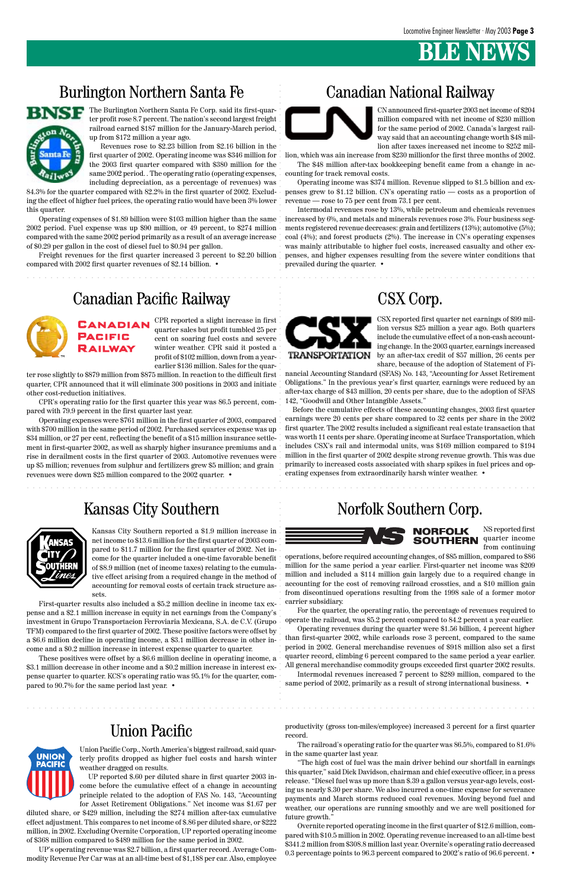## **BLE NEWS**

#### Burlington Northern Santa Fe



aaaaaaaaaaaaaaaaaaaaaaaaaaaaaaaaaaaaaaaaaaaaaaaaaaaaaaaaaaaaaaaaaaaaaaaaaaaaaaaaaaaaaaa

.<br>.<br>.<br>.<br>.

#### Canadian National Railway

#### Canadian Pacific Railway CSX Corp.

CANADIAN

**PACIFIC** RAILWAY



aaaaaaaaaaaaaaaaaaaaaaaaaaaaaaaaaaaaaaaaaaaaaaaaaaaaaaaaaaaaaaaaaaaaaaaaaaaaaaaaaaaaaaa

aaaaaaaaaaaaaaaaaaaaaaaaaaaaaaaaaaaaaaaaaaaaaaaaaaaaaaaaaaaaaaaaaaaaaaaaaaaaaaaaaaaaaaa

#### Union Pacific

aaaaaaaaaaaaaaaaaaaaaaaaaa

aaaaaaaaaaaaaaaaaaaaaaaaaaaa

.<br>.<br>.<br>.<br>.

aaaaaaaaaaaaaaaaaaaaaaaaaaaa

.<br>.<br>.<br>.

The Burlington Northern Santa Fe Corp. said its first-quarter profit rose 8.7 percent. The nation's second largest freight railroad earned \$187 million for the January-March period, up from \$172 million a year ago.

Revenues rose to \$2.23 billion from \$2.16 billion in the first quarter of 2002. Operating income was \$346 million for the 2003 first quarter compared with \$380 million for the same 2002 period. . The operating ratio (operating expenses, including depreciation, as a percentage of revenues) was

84.3% for the quarter compared with 82.2% in the first quarter of 2002. Excluding the effect of higher fuel prices, the operating ratio would have been 3% lower this quarter.

Operating expenses of \$1.89 billion were \$103 million higher than the same 2002 period. Fuel expense was up \$90 million, or 49 percent, to \$274 million compared with the same 2002 period primarily as a result of an average increase of \$0.29 per gallon in the cost of diesel fuel to \$0.94 per gallon.

Freight revenues for the first quarter increased 3 percent to \$2.20 billion compared with 2002 first quarter revenues of \$2.14 billion. •

CN announced first-quarter 2003 net income of \$204 million compared with net income of \$230 million for the same period of 2002. Canada's largest railway said that an accounting change worth \$48 million after taxes increased net income to \$252 mil-

lion, which was ain increase from \$230 millionfor the first three months of 2002. The \$48 million after-tax bookkeeping benefit came from a change in accounting for track removal costs.

Operating income was \$374 million. Revenue slipped to \$1.5 billion and expenses grew to \$1.12 billion. CN's operating ratio — costs as a proportion of revenue — rose to 75 per cent from 73.1 per cent.

Intermodal revenues rose by 13%, while petroleum and chemicals revenues increased by 6%, and metals and minerals revenues rose 3%. Four business segments registered revenue decreases: grain and fertilizers (13%); automotive (5%); coal (4%); and forest products (2%). The increase in CN's operating expenses was mainly attributable to higher fuel costs, increased casualty and other expenses, and higher expenses resulting from the severe winter conditions that prevailed during the quarter. •

CPR reported a slight increase in first quarter sales but profit tumbled 25 per cent on soaring fuel costs and severe winter weather. CPR said it posted a profit of \$102 million, down from a yearearlier \$136 million. Sales for the quar-

ter rose slightly to \$879 million from \$875 million. In reaction to the difficult first quarter, CPR announced that it will eliminate 300 positions in 2003 and initiate other cost-reduction initiatives.

CPR's operating ratio for the first quarter this year was 86.5 percent, compared with 79.9 percent in the first quarter last year.

> Operating revenues during the quarter were \$1.56 billion, 4 percent higher than first-quarter 2002, while carloads rose 3 percent, compared to the same period in 2002. General merchandise revenues of \$918 million also set a first quarter record, climbing 6 percent compared to the same period a year earlier. All general merchandise commodity groups exceeded first quarter 2002 results. Intermodal revenues increased 7 percent to \$289 million, compared to the same period of 2002, primarily as a result of strong international business.  $\bullet$

Operating expenses were \$761 million in the first quarter of 2003, compared with \$700 million in the same period of 2002. Purchased services expense was up \$34 million, or 27 per cent, reflecting the benefit of a \$15 million insurance settlement in first-quarter 2002, as well as sharply higher insurance premiums and a rise in derailment costs in the first quarter of 2003. Automotive revenues were up \$5 million; revenues from sulphur and fertilizers grew \$5 million; and grain revenues were down \$25 million compared to the 2002 quarter. •



CSX reported first quarter net earnings of \$99 million versus \$25 million a year ago. Both quarters include the cumulative effect of a non-cash accounting change. In the 2003 quarter, earnings increased by an after-tax credit of \$57 million, 26 cents per share, because of the adoption of Statement of Fi-

nancial Accounting Standard (SFAS) No. 143, "Accounting for Asset Retirement Obligations." In the previous year's first quarter, earnings were reduced by an after-tax charge of \$43 million, 20 cents per share, due to the adoption of SFAS 142, "Goodwill and Other Intangible Assets."

 Before the cumulative effects of these accounting changes, 2003 first quarter earnings were 20 cents per share compared to 32 cents per share in the 2002 first quarter. The 2002 results included a significant real estate transaction that was worth 11 cents per share. Operating income at Surface Transportation, which includes CSX's rail and intermodal units, was \$169 million compared to \$194 million in the first quarter of 2002 despite strong revenue growth. This was due primarily to increased costs associated with sharp spikes in fuel prices and operating expenses from extraordinarily harsh winter weather. •



Kansas City Southern reported a \$1.9 million increase in net income to \$13.6 million for the first quarter of 2003 compared to \$11.7 million for the first quarter of 2002. Net income for the quarter included a one-time favorable benefit of \$8.9 million (net of income taxes) relating to the cumulative effect arising from a required change in the method of accounting for removal costs of certain track structure assets.

First-quarter results also included a \$5.2 million decline in income tax expense and a \$2.1 million increase in equity in net earnings from the Company's investment in Grupo Transportacion Ferroviaria Mexicana, S.A. de C.V. (Grupo TFM) compared to the first quarter of 2002. These positive factors were offset by a \$6.6 million decline in operating income, a \$3.1 million decrease in other income and a \$0.2 million increase in interest expense quarter to quarter. These positives were offset by a \$6.6 million decline in operating income, a \$3.1 million decrease in other income and a \$0.2 million increase in interest expense quarter to quarter. KCS's operating ratio was 95.1% for the quarter, compared to 90.7% for the same period last year. •

#### Kansas City Southern Norfolk Southern Corp.



NS reported first **NORFOLK** quarter income **SOUTHERN** from continuing

operations, before required accounting changes, of \$85 million, compared to \$86 million for the same period a year earlier. First-quarter net income was \$209 million and included a \$114 million gain largely due to a required change in accounting for the cost of removing railroad crossties, and a \$10 million gain from discontinued operations resulting from the 1998 sale of a former motor carrier subsidiary.

For the quarter, the operating ratio, the percentage of revenues required to operate the railroad, was 85.2 percent compared to 84.2 percent a year earlier.

Union Pacific Corp., North America's biggest railroad, said quarterly profits dropped as higher fuel costs and harsh winter weather dragged on results.

UP reported \$.60 per diluted share in first quarter 2003 income before the cumulative effect of a change in accounting principle related to the adoption of FAS No. 143, "Accounting for Asset Retirement Obligations." Net income was \$1.67 per

diluted share, or \$429 million, including the \$274 million after-tax cumulative effect adjustment. This compares to net income of \$.86 per diluted share, or \$222 million, in 2002. Excluding Overnite Corporation, UP reported operating income of \$368 million compared to \$489 million for the same period in 2002.

UP's operating revenue was \$2.7 billion, a first quarter record. Average Commodity Revenue Per Car was at an all-time best of \$1,188 per car. Also, employee productivity (gross ton-miles/employee) increased 3 percent for a first quarter record.

The railroad's operating ratio for the quarter was 86.5%, compared to 81.6% in the same quarter last year.

"The high cost of fuel was the main driver behind our shortfall in earnings this quarter," said Dick Davidson, chairman and chief executive officer, in a press release. "Diesel fuel was up more than \$.39 a gallon versus year-ago levels, costing us nearly \$.30 per share. We also incurred a one-time expense for severance payments and March storms reduced coal revenues. Moving beyond fuel and weather, our operations are running smoothly and we are well positioned for future growth."

Overnite reported operating income in the first quarter of \$12.6 million, compared with \$10.5 million in 2002. Operating revenue increased to an all-time best \$341.2 million from \$308.8 million last year. Overnite's operating ratio decreased 0.3 percentage points to 96.3 percent compared to 2002's ratio of 96.6 percent. •